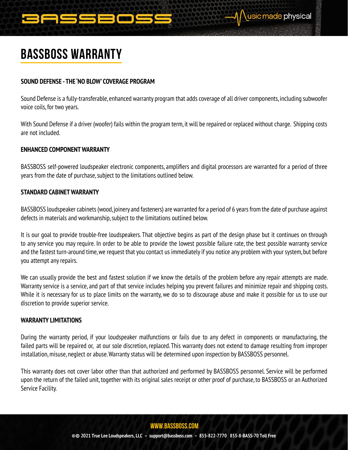

# BASSBOSS Warranty

## **SOUND DEFENSE - THE 'NO BLOW' COVERAGE PROGRAM**

Sound Defense is a fully-transferable, enhanced warranty program that adds coverage of all driver components, including subwoofer voice coils, for two years.

With Sound Defense if a driver (woofer) fails within the program term, it will be repaired or replaced without charge. Shipping costs are not included.

### **ENHANCED COMPONENT WARRANTY**

BASSBOSS self-powered loudspeaker electronic components, amplifiers and digital processors are warranted for a period of three years from the date of purchase, subject to the limitations outlined below.

## **STANDARD CABINET WARRANTY**

BASSBOSS loudspeaker cabinets (wood, joinery and fasteners) are warranted for a period of 6 years from the date of purchase against defects in materials and workmanship, subject to the limitations outlined below.

It is our goal to provide trouble-free loudspeakers. That objective begins as part of the design phase but it continues on through to any service you may require. In order to be able to provide the lowest possible failure rate, the best possible warranty service and the fastest turn-around time, we request that you contact us immediately if you notice any problem with your system, but before you attempt any repairs.

We can usually provide the best and fastest solution if we know the details of the problem before any repair attempts are made. Warranty service is a service, and part of that service includes helping you prevent failures and minimize repair and shipping costs. While it is necessary for us to place limits on the warranty, we do so to discourage abuse and make it possible for us to use our discretion to provide superior service.

### **WARRANTY LIMITATIONS**

During the warranty period, if your loudspeaker malfunctions or fails due to any defect in components or manufacturing, the failed parts will be repaired or, at our sole discretion, replaced. This warranty does not extend to damage resulting from improper installation, misuse, neglect or abuse. Warranty status will be determined upon inspection by BASSBOSS personnel.

This warranty does not cover labor other than that authorized and performed by BASSBOSS personnel. Service will be performed upon the return of the failed unit, together with its original sales receipt or other proof of purchase, to BASSBOSS or an Authorized Service Facility.